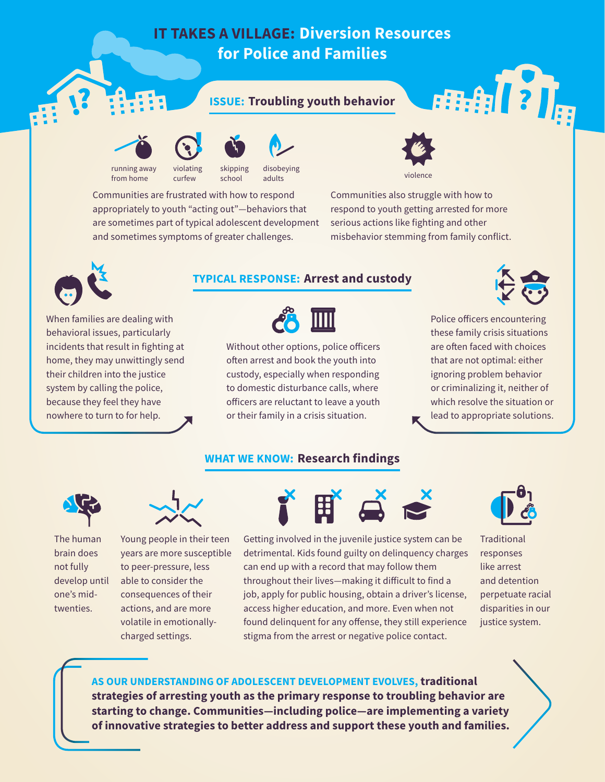# **IT TAKES A VILLAGE: Diversion Resources for Police and Families**

## **ISSUE: Troubling youth behavior**



from home



curfew



disobeying adults

Communities are frustrated with how to respond appropriately to youth "acting out"—behaviors that are sometimes part of typical adolescent development and sometimes symptoms of greater challenges.

school



violence

Communities also struggle with how to respond to youth getting arrested for more serious actions like fighting and other misbehavior stemming from family conflict.



When families are dealing with behavioral issues, particularly incidents that result in fighting at home, they may unwittingly send their children into the justice system by calling the police, because they feel they have nowhere to turn to for help.

## **TYPICAL RESPONSE: Arrest and custody**



Without other options, police officers often arrest and book the youth into custody, especially when responding to domestic disturbance calls, where officers are reluctant to leave a youth or their family in a crisis situation.

## **WHAT WE KNOW: Research findings**



用制?]。

Police officers encountering these family crisis situations are often faced with choices that are not optimal: either ignoring problem behavior or criminalizing it, neither of which resolve the situation or lead to appropriate solutions.



The human brain does not fully develop until one's midtwenties.



Young people in their teen years are more susceptible to peer-pressure, less able to consider the consequences of their actions, and are more volatile in emotionallycharged settings.



Getting involved in the juvenile justice system can be detrimental. Kids found guilty on delinquency charges can end up with a record that may follow them throughout their lives—making it difficult to find a job, apply for public housing, obtain a driver's license, access higher education, and more. Even when not found delinquent for any offense, they still experience stigma from the arrest or negative police contact.



**Traditional** responses like arrest and detention perpetuate racial disparities in our justice system.

**AS OUR UNDERSTANDING OF ADOLESCENT DEVELOPMENT EVOLVES, traditional strategies of arresting youth as the primary response to troubling behavior are starting to change. Communities—including police—are implementing a variety of innovative strategies to better address and support these youth and families.**